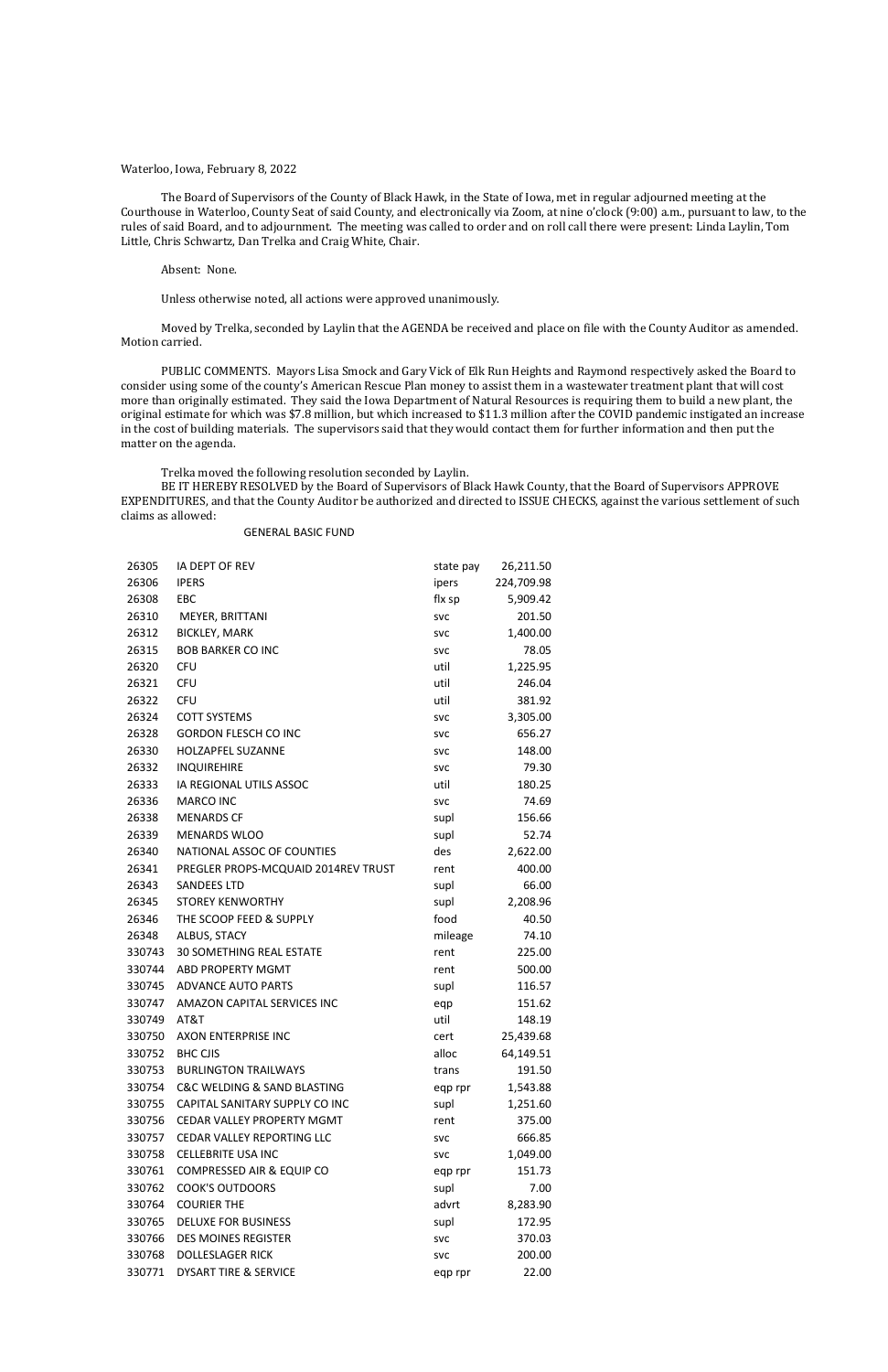#### Waterloo, Iowa, February 8, 2022

The Board of Supervisors of the County of Black Hawk, in the State of Iowa, met in regular adjourned meeting at the Courthouse in Waterloo, County Seat of said County, and electronically via Zoom, at nine o'clock (9:00) a.m., pursuant to law, to the rules of said Board, and to adjournment. The meeting was called to order and on roll call there were present: Linda Laylin, Tom Little, Chris Schwartz, Dan Trelka and Craig White, Chair.

#### Absent: None.

Unless otherwise noted, all actions were approved unanimously.

Moved by Trelka, seconded by Laylin that the AGENDA be received and place on file with the County Auditor as amended. Motion carried.

PUBLIC COMMENTS. Mayors Lisa Smock and Gary Vick of Elk Run Heights and Raymond respectively asked the Board to consider using some of the county's American Rescue Plan money to assist them in a wastewater treatment plant that will cost more than originally estimated. They said the Iowa Department of Natural Resources is requiring them to build a new plant, the original estimate for which was \$7.8 million, but which increased to \$11.3 million after the COVID pandemic instigated an increase in the cost of building materials. The supervisors said that they would contact them for further information and then put the matter on the agenda.

Trelka moved the following resolution seconded by Laylin.

BE IT HEREBY RESOLVED by the Board of Supervisors of Black Hawk County, that the Board of Supervisors APPROVE EXPENDITURES, and that the County Auditor be authorized and directed to ISSUE CHECKS, against the various settlement of such claims as allowed:

#### GENERAL BASIC FUND

| 26305  | IA DEPT OF REV                             | state pay  | 26,211.50  |
|--------|--------------------------------------------|------------|------------|
| 26306  | <b>IPERS</b>                               | ipers      | 224,709.98 |
| 26308  | EBC                                        | flx sp     | 5,909.42   |
| 26310  | MEYER, BRITTANI                            | <b>SVC</b> | 201.50     |
| 26312  | <b>BICKLEY, MARK</b>                       | <b>SVC</b> | 1,400.00   |
| 26315  | <b>BOB BARKER CO INC</b>                   | <b>SVC</b> | 78.05      |
| 26320  | <b>CFU</b>                                 | util       | 1,225.95   |
| 26321  | <b>CFU</b>                                 | util       | 246.04     |
| 26322  | <b>CFU</b>                                 | util       | 381.92     |
| 26324  | <b>COTT SYSTEMS</b>                        | <b>SVC</b> | 3,305.00   |
| 26328  | <b>GORDON FLESCH CO INC</b>                | <b>SVC</b> | 656.27     |
| 26330  | HOLZAPFEL SUZANNE                          | <b>SVC</b> | 148.00     |
| 26332  | INQUIREHIRE                                | <b>SVC</b> | 79.30      |
| 26333  | IA REGIONAL UTILS ASSOC                    | util       | 180.25     |
| 26336  | <b>MARCO INC</b>                           | <b>SVC</b> | 74.69      |
| 26338  | <b>MENARDS CF</b>                          | supl       | 156.66     |
| 26339  | <b>MENARDS WLOO</b>                        | supl       | 52.74      |
| 26340  | NATIONAL ASSOC OF COUNTIES                 | des        | 2,622.00   |
| 26341  | PREGLER PROPS-MCQUAID 2014REV TRUST        | rent       | 400.00     |
| 26343  | <b>SANDEES LTD</b>                         | supl       | 66.00      |
| 26345  | <b>STOREY KENWORTHY</b>                    | supl       | 2,208.96   |
| 26346  | THE SCOOP FEED & SUPPLY                    | food       | 40.50      |
| 26348  | ALBUS, STACY                               | mileage    | 74.10      |
| 330743 | <b>30 SOMETHING REAL ESTATE</b>            | rent       | 225.00     |
| 330744 | ABD PROPERTY MGMT                          | rent       | 500.00     |
| 330745 | <b>ADVANCE AUTO PARTS</b>                  | supl       | 116.57     |
| 330747 | AMAZON CAPITAL SERVICES INC                | eqp        | 151.62     |
| 330749 | AT&T                                       | util       | 148.19     |
| 330750 | AXON ENTERPRISE INC                        | cert       | 25,439.68  |
| 330752 | <b>BHC CJIS</b>                            | alloc      | 64,149.51  |
| 330753 | <b>BURLINGTON TRAILWAYS</b>                | trans      | 191.50     |
| 330754 | <b>C&amp;C WELDING &amp; SAND BLASTING</b> | eqp rpr    | 1,543.88   |
| 330755 | CAPITAL SANITARY SUPPLY CO INC             | supl       | 1,251.60   |
| 330756 | <b>CEDAR VALLEY PROPERTY MGMT</b>          | rent       | 375.00     |
| 330757 | <b>CEDAR VALLEY REPORTING LLC</b>          | <b>SVC</b> | 666.85     |
| 330758 | <b>CELLEBRITE USA INC</b>                  | <b>SVC</b> | 1,049.00   |
| 330761 | COMPRESSED AIR & EQUIP CO                  | eqp rpr    | 151.73     |
| 330762 | <b>COOK'S OUTDOORS</b>                     | supl       | 7.00       |
| 330764 | <b>COURIER THE</b>                         | advrt      | 8,283.90   |
| 330765 | <b>DELUXE FOR BUSINESS</b>                 | supl       | 172.95     |
| 330766 | <b>DES MOINES REGISTER</b>                 | <b>SVC</b> | 370.03     |
| 330768 | <b>DOLLESLAGER RICK</b>                    | <b>SVC</b> | 200.00     |
| 330771 | <b>DYSART TIRE &amp; SERVICE</b>           | eqp rpr    | 22.00      |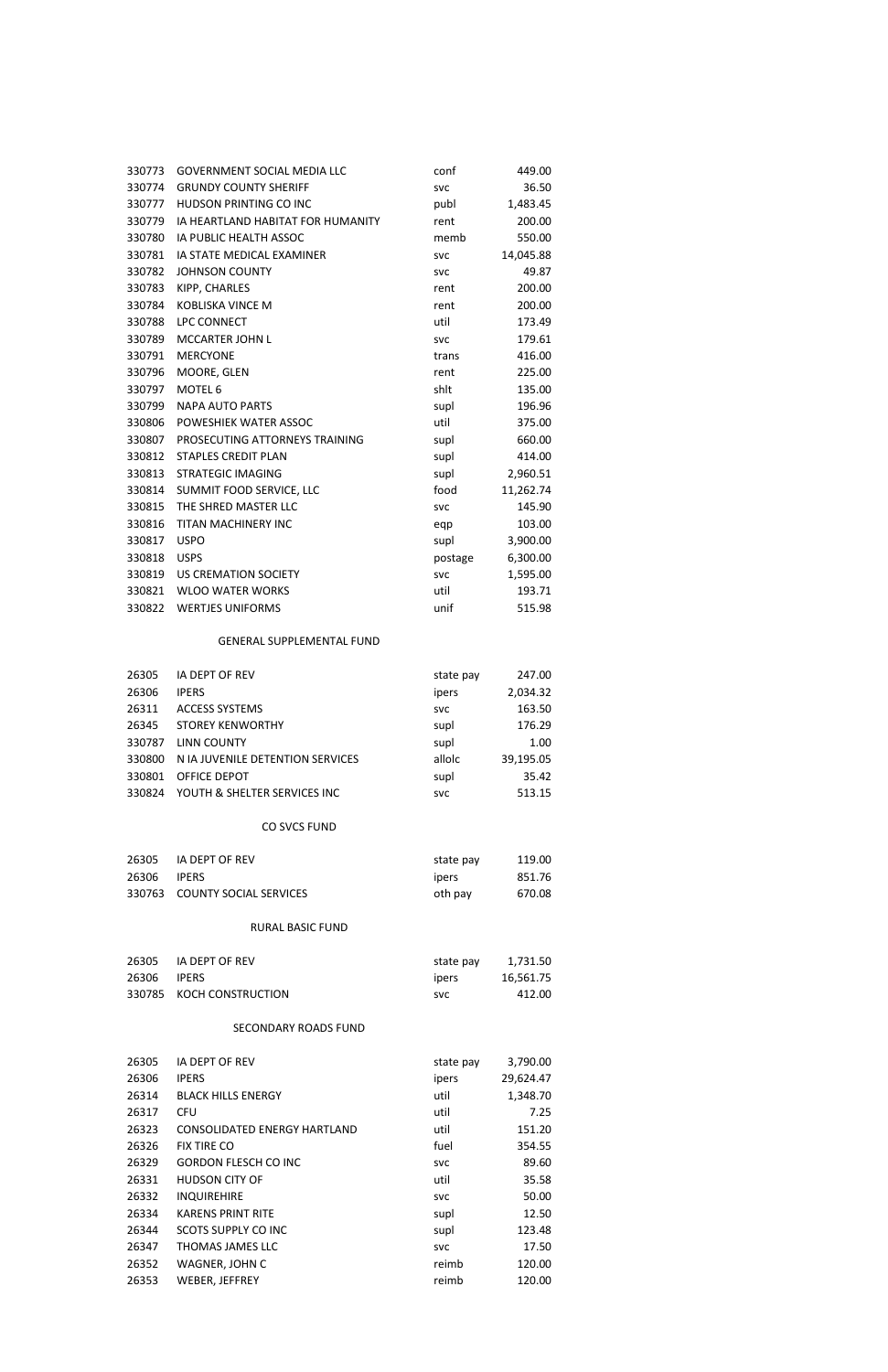| 330773 | <b>GOVERNMENT SOCIAL MEDIA LLC</b> | conf       | 449.00    |
|--------|------------------------------------|------------|-----------|
| 330774 | <b>GRUNDY COUNTY SHERIFF</b>       | <b>SVC</b> | 36.50     |
| 330777 | HUDSON PRINTING CO INC             | publ       | 1,483.45  |
| 330779 | IA HEARTLAND HABITAT FOR HUMANITY  | rent       | 200.00    |
| 330780 | IA PUBLIC HEALTH ASSOC             | memb       | 550.00    |
| 330781 | IA STATE MEDICAL EXAMINER          | <b>SVC</b> | 14,045.88 |
| 330782 | <b>JOHNSON COUNTY</b>              | <b>SVC</b> | 49.87     |
| 330783 | KIPP, CHARLES                      | rent       | 200.00    |
| 330784 | <b>KOBLISKA VINCE M</b>            | rent       | 200.00    |
| 330788 | LPC CONNECT                        | util       | 173.49    |
| 330789 | MCCARTER JOHN L                    | <b>SVC</b> | 179.61    |
| 330791 | <b>MERCYONE</b>                    | trans      | 416.00    |
| 330796 | MOORE, GLEN                        | rent       | 225.00    |
| 330797 | MOTEL <sub>6</sub>                 | shlt       | 135.00    |
| 330799 | <b>NAPA AUTO PARTS</b>             | supl       | 196.96    |
| 330806 | POWESHIEK WATER ASSOC              | util       | 375.00    |
| 330807 | PROSECUTING ATTORNEYS TRAINING     | supl       | 660.00    |
| 330812 | <b>STAPLES CREDIT PLAN</b>         | supl       | 414.00    |
| 330813 | <b>STRATEGIC IMAGING</b>           | supl       | 2,960.51  |
| 330814 | SUMMIT FOOD SERVICE, LLC           | food       | 11,262.74 |
| 330815 | THE SHRED MASTER LLC               | <b>SVC</b> | 145.90    |
| 330816 | TITAN MACHINERY INC                | eqp        | 103.00    |
| 330817 | <b>USPO</b>                        | supl       | 3,900.00  |
| 330818 | <b>USPS</b>                        | postage    | 6,300.00  |
| 330819 | <b>US CREMATION SOCIETY</b>        | <b>SVC</b> | 1,595.00  |
| 330821 | <b>WLOO WATER WORKS</b>            | util       | 193.71    |
| 330822 | <b>WERTJES UNIFORMS</b>            | unif       | 515.98    |
|        |                                    |            |           |

# GENERAL SUPPLEMENTAL FUND

| 26305  | <b>IA DEPT OF REV</b>            | state pay  | 247.00    |
|--------|----------------------------------|------------|-----------|
| 26306  | <b>IPERS</b>                     | ipers      | 2,034.32  |
| 26311  | <b>ACCESS SYSTEMS</b>            | <b>SVC</b> | 163.50    |
| 26345  | <b>STOREY KENWORTHY</b>          | supl       | 176.29    |
| 330787 | LINN COUNTY                      | supl       | 1.00      |
| 330800 | N IA JUVENILE DETENTION SERVICES | allolc     | 39,195.05 |
| 330801 | OFFICE DEPOT                     | supl       | 35.42     |
| 330824 | YOUTH & SHELTER SERVICES INC     | <b>SVC</b> | 513.15    |

## CO SVCS FUND

| 26305 | IA DEPT OF REV                | state pay     | 119.00 |
|-------|-------------------------------|---------------|--------|
| 26306 | <b>IPFRS</b>                  | <b>T</b> bers | 851.76 |
|       | 330763 COUNTY SOCIAL SERVICES | oth pay       | 670.08 |

### RURAL BASIC FUND

| 26305 | IA DEPT OF REV           | state pay     | 1,731.50  |
|-------|--------------------------|---------------|-----------|
| 26306 | <b>IPERS</b>             | <b>l</b> pers | 16.561.75 |
|       | 330785 KOCH CONSTRUCTION | SVC.          | 412.00    |

## SECONDARY ROADS FUND

| 26305 | <b>IA DEPT OF REV</b>        | state pay  | 3,790.00  |
|-------|------------------------------|------------|-----------|
| 26306 | <b>IPERS</b>                 | ipers      | 29,624.47 |
| 26314 | <b>BLACK HILLS ENERGY</b>    | util       | 1,348.70  |
| 26317 | <b>CFU</b>                   | util       | 7.25      |
| 26323 | CONSOLIDATED ENERGY HARTLAND | util       | 151.20    |
| 26326 | <b>FIX TIRE CO</b>           | fuel       | 354.55    |
| 26329 | <b>GORDON FLESCH CO INC</b>  | <b>SVC</b> | 89.60     |
| 26331 | <b>HUDSON CITY OF</b>        | util       | 35.58     |
| 26332 | <b>INQUIREHIRE</b>           | <b>SVC</b> | 50.00     |
| 26334 | <b>KARENS PRINT RITE</b>     | supl       | 12.50     |
| 26344 | <b>SCOTS SUPPLY CO INC</b>   | supl       | 123.48    |
| 26347 | THOMAS JAMES LLC             | <b>SVC</b> | 17.50     |
| 26352 | WAGNER, JOHN C               | reimb      | 120.00    |
| 26353 | WEBER, JEFFREY               | reimb      | 120.00    |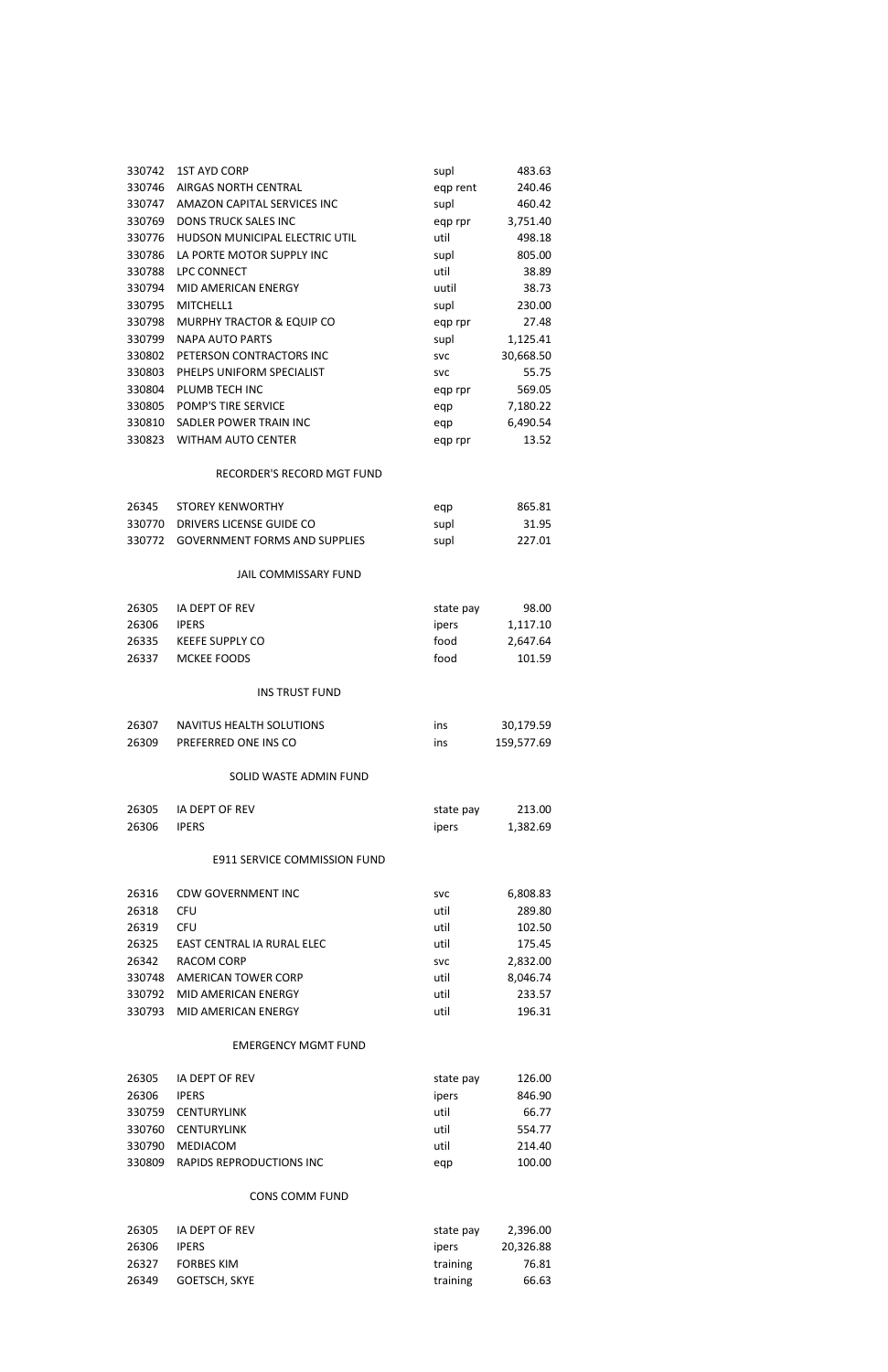| 330742 | <b>1ST AYD CORP</b>                  | supl       | 483.63     |
|--------|--------------------------------------|------------|------------|
| 330746 | <b>AIRGAS NORTH CENTRAL</b>          | eqp rent   | 240.46     |
| 330747 | AMAZON CAPITAL SERVICES INC          | supl       | 460.42     |
| 330769 | <b>DONS TRUCK SALES INC</b>          | eqp rpr    | 3,751.40   |
| 330776 | HUDSON MUNICIPAL ELECTRIC UTIL       | util       | 498.18     |
| 330786 | LA PORTE MOTOR SUPPLY INC            | supl       | 805.00     |
| 330788 | LPC CONNECT                          | util       | 38.89      |
| 330794 | <b>MID AMERICAN ENERGY</b>           | uutil      | 38.73      |
| 330795 | MITCHELL1                            | supl       | 230.00     |
| 330798 | <b>MURPHY TRACTOR &amp; EQUIP CO</b> | eqp rpr    | 27.48      |
| 330799 | <b>NAPA AUTO PARTS</b>               | supl       | 1,125.41   |
| 330802 | PETERSON CONTRACTORS INC             | <b>SVC</b> | 30,668.50  |
| 330803 | PHELPS UNIFORM SPECIALIST            | <b>SVC</b> | 55.75      |
| 330804 | PLUMB TECH INC                       | eqp rpr    | 569.05     |
| 330805 | POMP'S TIRE SERVICE                  | eqp        | 7,180.22   |
| 330810 | SADLER POWER TRAIN INC               |            | 6,490.54   |
| 330823 | <b>WITHAM AUTO CENTER</b>            | eqp        | 13.52      |
|        |                                      | eqp rpr    |            |
|        | RECORDER'S RECORD MGT FUND           |            |            |
| 26345  | <b>STOREY KENWORTHY</b>              | eqp        | 865.81     |
| 330770 | DRIVERS LICENSE GUIDE CO             | supl       | 31.95      |
| 330772 | <b>GOVERNMENT FORMS AND SUPPLIES</b> | supl       | 227.01     |
|        |                                      |            |            |
|        | JAIL COMMISSARY FUND                 |            |            |
| 26305  | IA DEPT OF REV                       | state pay  | 98.00      |
| 26306  | <b>IPERS</b>                         | ipers      | 1,117.10   |
| 26335  | <b>KEEFE SUPPLY CO</b>               | food       | 2,647.64   |
| 26337  | <b>MCKEE FOODS</b>                   | food       | 101.59     |
|        |                                      |            |            |
|        | <b>INS TRUST FUND</b>                |            |            |
| 26307  | NAVITUS HEALTH SOLUTIONS             | ins        | 30,179.59  |
| 26309  | PREFERRED ONE INS CO                 | ins        | 159,577.69 |
|        |                                      |            |            |
|        | SOLID WASTE ADMIN FUND               |            |            |
| 26305  | <b>IA DEPT OF REV</b>                | state pay  | 213.00     |
| 26306  | <b>IPERS</b>                         | ipers      | 1,382.69   |
|        |                                      |            |            |
|        | <b>E911 SERVICE COMMISSION FUND</b>  |            |            |
| 26316  | <b>CDW GOVERNMENT INC</b>            | <b>SVC</b> | 6,808.83   |
| 26318  | <b>CFU</b>                           | util       | 289.80     |
| 26319  | <b>CFU</b>                           | util       | 102.50     |
| 26325  | EAST CENTRAL IA RURAL ELEC           | util       | 175.45     |
| 26342  | <b>RACOM CORP</b>                    | <b>SVC</b> | 2,832.00   |
|        | 330748 AMERICAN TOWER CORP           | util       | 8,046.74   |
|        |                                      |            |            |

#### 330793 MID AMERICAN ENERGY UTIL UTIL UTIL UTIL 196.31

MID AMERICAN ENERGY util 233.57

## EMERGENCY MGMT FUND

| 26305  | IA DEPT OF REV           | state pay | 126.00 |
|--------|--------------------------|-----------|--------|
| 26306  | <b>IPERS</b>             | ipers     | 846.90 |
| 330759 | CENTURYLINK              | util      | 66.77  |
| 330760 | CENTURYLINK              | util      | 554.77 |
| 330790 | MEDIACOM                 | util      | 214.40 |
| 330809 | RAPIDS REPRODUCTIONS INC | egp       | 100.00 |

# CONS COMM FUND

| 26305 | IA DEPT OF REV    | state pay | 2.396.00  |
|-------|-------------------|-----------|-----------|
| 26306 | <b>IPERS</b>      | ipers     | 20.326.88 |
| 26327 | <b>FORBES KIM</b> | training  | 76.81     |
| 26349 | GOETSCH. SKYE     | training  | 66.63     |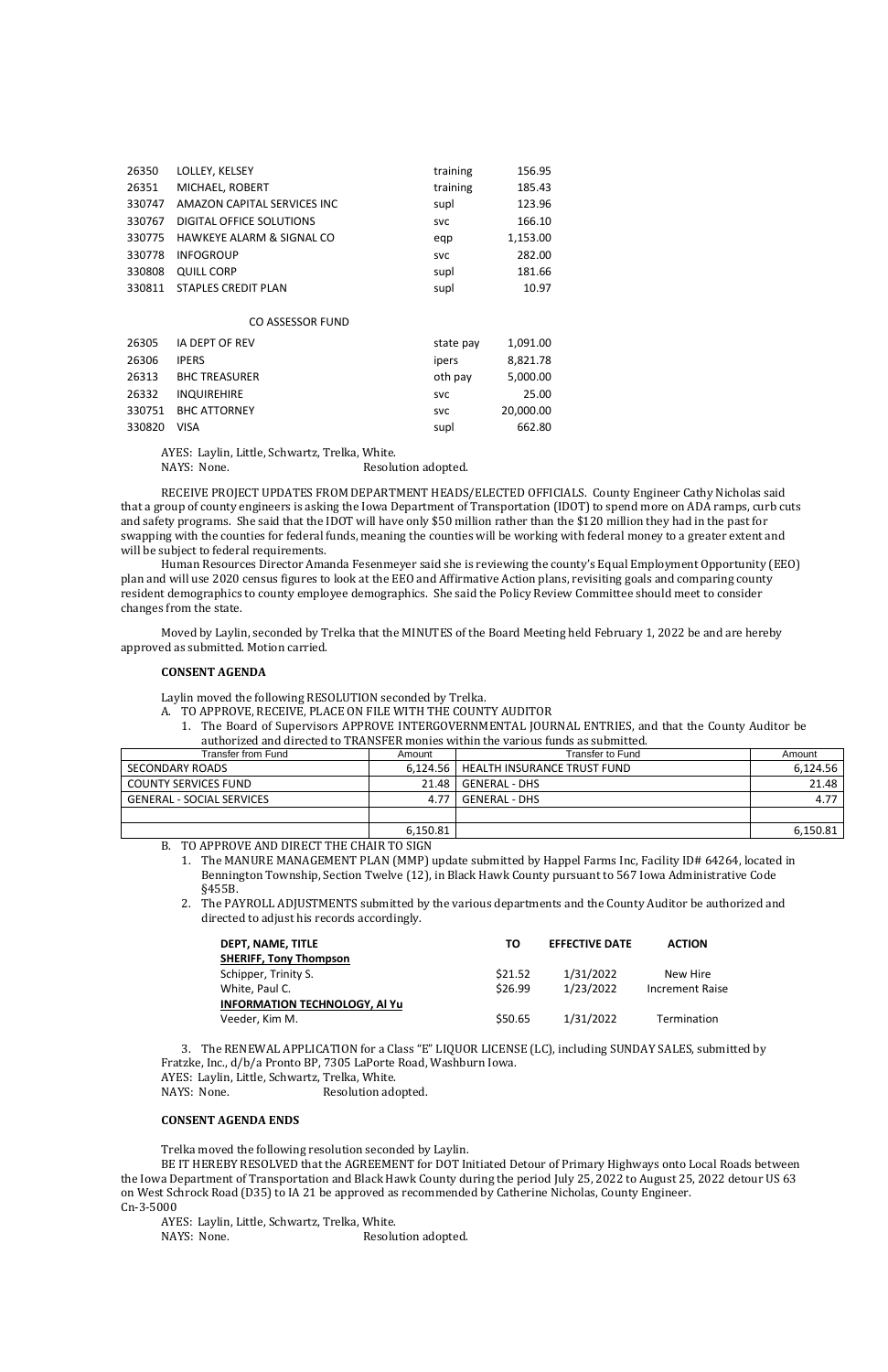| 26350  | LOLLEY, KELSEY              | training   | 156.95    |
|--------|-----------------------------|------------|-----------|
| 26351  | MICHAEL, ROBERT             | training   | 185.43    |
| 330747 | AMAZON CAPITAL SERVICES INC | supl       | 123.96    |
| 330767 | DIGITAL OFFICE SOLUTIONS    | <b>SVC</b> | 166.10    |
| 330775 | HAWKEYE ALARM & SIGNAL CO   | eqp        | 1,153.00  |
| 330778 | <b>INFOGROUP</b>            | <b>SVC</b> | 282.00    |
| 330808 | <b>QUILL CORP</b>           | supl       | 181.66    |
| 330811 | <b>STAPLES CREDIT PLAN</b>  | supl       | 10.97     |
|        |                             |            |           |
|        | CO ASSESSOR FUND            |            |           |
| 26305  | IA DEPT OF REV              | state pay  | 1,091.00  |
| 26306  | <b>IPERS</b>                | ipers      | 8,821.78  |
| 26313  | <b>BHC TREASURER</b>        | oth pay    | 5,000.00  |
| 26332  | <b>INQUIREHIRE</b>          | <b>SVC</b> | 25.00     |
| 330751 | <b>BHC ATTORNEY</b>         | <b>SVC</b> | 20,000.00 |
| 330820 | VISA                        | supl       | 662.80    |

AYES: Laylin, Little, Schwartz, Trelka, White.

NAYS: None. Resolution adopted.

RECEIVE PROJECT UPDATES FROM DEPARTMENT HEADS/ELECTED OFFICIALS. County Engineer Cathy Nicholas said that a group of county engineers is asking the Iowa Department of Transportation (IDOT) to spend more on ADA ramps, curb cuts and safety programs. She said that the IDOT will have only \$50 million rather than the \$120 million they had in the past for swapping with the counties for federal funds, meaning the counties will be working with federal money to a greater extent and will be subject to federal requirements.

2. The PAYROLL ADJUSTMENTS submitted by the various departments and the County Auditor be authorized and directed to adjust his records accordingly.

Human Resources Director Amanda Fesenmeyer said she is reviewing the county's Equal Employment Opportunity (EEO) plan and will use 2020 census figures to look at the EEO and Affirmative Action plans, revisiting goals and comparing county resident demographics to county employee demographics. She said the Policy Review Committee should meet to consider changes from the state.

Moved by Laylin, seconded by Trelka that the MINUTES of the Board Meeting held February 1, 2022 be and are hereby approved as submitted. Motion carried.

### **CONSENT AGENDA**

Laylin moved the following RESOLUTION seconded by Trelka.

- A. TO APPROVE, RECEIVE, PLACE ON FILE WITH THE COUNTY AUDITOR
	- 1. The Board of Supervisors APPROVE INTERGOVERNMENTAL JOURNAL ENTRIES, and that the County Auditor be authorized and directed to TRANSFER monies within the various funds as submitted.

| Transfer from Fund               | Amount   | Transfer to Fund                       | Amount   |
|----------------------------------|----------|----------------------------------------|----------|
| SECONDARY ROADS                  |          | 6,124.56   HEALTH INSURANCE TRUST FUND | 6.124.56 |
| <b>COUNTY SERVICES FUND</b>      | 21.48    | GENERAL - DHS                          | 21.48    |
| <b>GENERAL - SOCIAL SERVICES</b> | 4.77     | GENERAL - DHS                          | 4.77     |
|                                  |          |                                        |          |
|                                  | 6,150.81 |                                        | 6,150.81 |

## B. TO APPROVE AND DIRECT THE CHAIR TO SIGN

1. The MANURE MANAGEMENT PLAN (MMP) update submitted by Happel Farms Inc, Facility ID# 64264, located in Bennington Township, Section Twelve (12), in Black Hawk County pursuant to 567 Iowa Administrative Code §455B.

| DEPT. NAME. TITLE                    | TΟ      | <b>EFFECTIVE DATE</b> | <b>ACTION</b>          |
|--------------------------------------|---------|-----------------------|------------------------|
| <b>SHERIFF, Tony Thompson</b>        |         |                       |                        |
| Schipper, Trinity S.                 | \$21.52 | 1/31/2022             | New Hire               |
| White, Paul C.                       | \$26.99 | 1/23/2022             | <b>Increment Raise</b> |
| <b>INFORMATION TECHNOLOGY, AI Yu</b> |         |                       |                        |

Veeder, Kim M. 68 and 1990 1200 1200 1201 12022 11:31/2022 11:42

3. The RENEWAL APPLICATION for a Class "E" LIQUOR LICENSE (LC), including SUNDAY SALES, submitted by Fratzke, Inc., d/b/a Pronto BP, 7305 LaPorte Road, Washburn Iowa.

AYES: Laylin, Little, Schwartz, Trelka, White.

NAYS: None. Resolution adopted.

### **CONSENT AGENDA ENDS**

Trelka moved the following resolution seconded by Laylin.

BE IT HEREBY RESOLVED that the AGREEMENT for DOT Initiated Detour of Primary Highways onto Local Roads between the Iowa Department of Transportation and Black Hawk County during the period July 25, 2022 to August 25, 2022 detour US 63 on West Schrock Road (D35) to IA 21 be approved as recommended by Catherine Nicholas, County Engineer. Cn-3-5000

AYES: Laylin, Little, Schwartz, Trelka, White.

NAYS: None. Resolution adopted.